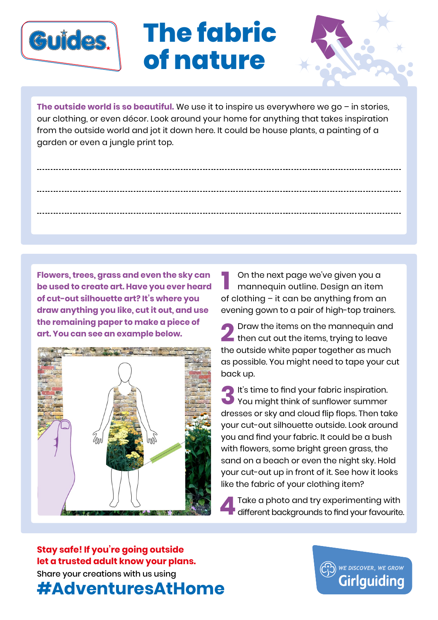

## **The fabric of nature**



**The outside world is so beautiful.** We use it to inspire us everywhere we go – in stories, our clothing, or even décor. Look around your home for anything that takes inspiration from the outside world and jot it down here. It could be house plants, a painting of a garden or even a jungle print top.

**Flowers, trees, grass and even the sky can be used to create art. Have you ever heard of cut-out silhouette art? It's where you draw anything you like, cut it out, and use the remaining paper to make a piece of art. You can see an example below.** 



On the next page we've given you a mannequin outline. Design an item On the next page we ve given you a<br>mannequin outline. Design an item<br>of clothing – it can be anything from an evening gown to a pair of high-top trainers.

Draw the items on the mannequin and then cut out the items, trying to leave I Draw the items on the mannequin and<br>then cut out the items, trying to leave<br>the outside white paper together as much as possible. You might need to tape your cut back up.

**It's time to find your fabric inspiration.** You might think of sunflower summer dresses or sky and cloud flip flops. Then take your cut-out silhouette outside. Look around you and find your fabric. It could be a bush with flowers, some bright green grass, the sand on a beach or even the night sky. Hold your cut-out up in front of it. See how it looks like the fabric of your clothing item? **3**

Take a photo and try experimenting with different backgrounds to find your favourite. **4**

Share your creations with us using **#AdventuresAtHome Stay safe! If you're going outside let a trusted adult know your plans.**